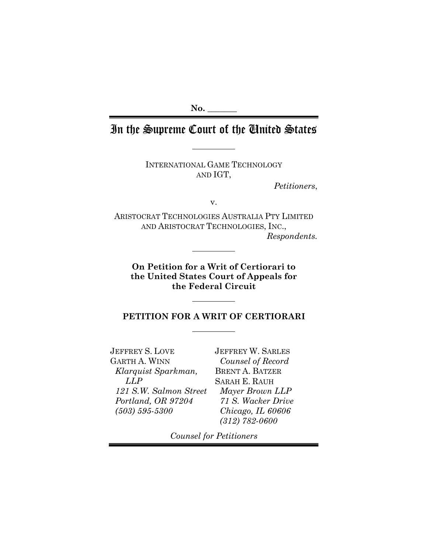**No. \_\_\_\_\_\_\_**

# In the Supreme Court of the United States

INTERNATIONAL GAME TECHNOLOGY AND IGT,

*Petitioners*,

v.

ARISTOCRAT TECHNOLOGIES AUSTRALIA PTY LIMITED AND ARISTOCRAT TECHNOLOGIES, INC., *Respondents.*

**On Petition for a Writ of Certiorari to the United States Court of Appeals for the Federal Circuit**

## **PETITION FOR A WRIT OF CERTIORARI**

JEFFREY S. LOVE GARTH A. WINN *Klarquist Sparkman, LLP 121 S.W. Salmon Street Portland, OR 97204 (503) 595-5300*

JEFFREY W. SARLES *Counsel of Record* BRENT A. BATZER SARAH E. RAUH *Mayer Brown LLP 71 S. Wacker Drive Chicago, IL 60606 (312) 782-0600*

*Counsel for Petitioners*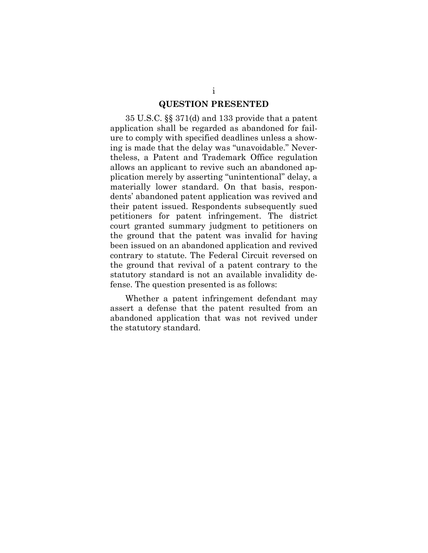#### <span id="page-1-0"></span>**QUESTION PRESENTED**

35 U.S.C. §§ 371(d) and 133 provide that a patent application shall be regarded as abandoned for failure to comply with specified deadlines unless a showing is made that the delay was "unavoidable." Nevertheless, a Patent and Trademark Office regulation allows an applicant to revive such an abandoned application merely by asserting "unintentional" delay, a materially lower standard. On that basis, respondents' abandoned patent application was revived and their patent issued. Respondents subsequently sued petitioners for patent infringement. The district court granted summary judgment to petitioners on the ground that the patent was invalid for having been issued on an abandoned application and revived contrary to statute. The Federal Circuit reversed on the ground that revival of a patent contrary to the statutory standard is not an available invalidity defense. The question presented is as follows:

Whether a patent infringement defendant may assert a defense that the patent resulted from an abandoned application that was not revived under the statutory standard.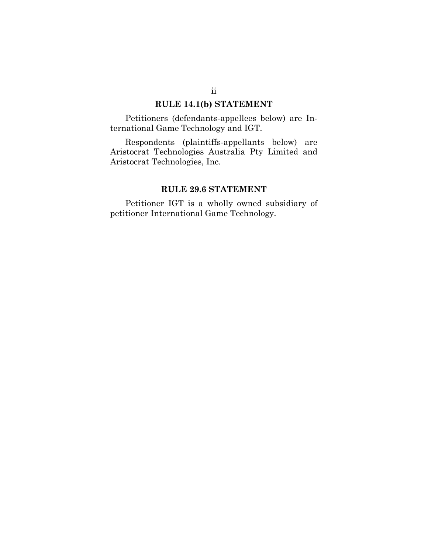## <span id="page-2-0"></span>**RULE 14.1(b) STATEMENT**

Petitioners (defendants-appellees below) are International Game Technology and IGT.

Respondents (plaintiffs-appellants below) are Aristocrat Technologies Australia Pty Limited and Aristocrat Technologies, Inc.

### <span id="page-2-1"></span>**RULE 29.6 STATEMENT**

Petitioner IGT is a wholly owned subsidiary of petitioner International Game Technology.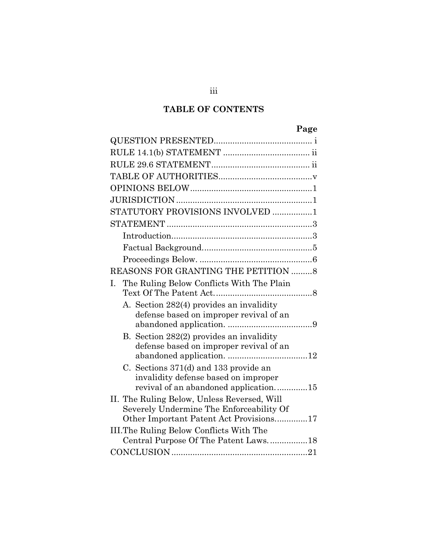# **TABLE OF CONTENTS**

| STATUTORY PROVISIONS INVOLVED 1                                                                                        |  |
|------------------------------------------------------------------------------------------------------------------------|--|
|                                                                                                                        |  |
|                                                                                                                        |  |
|                                                                                                                        |  |
|                                                                                                                        |  |
| REASONS FOR GRANTING THE PETITION 8                                                                                    |  |
| The Ruling Below Conflicts With The Plain<br>I.                                                                        |  |
| A. Section 282(4) provides an invalidity<br>defense based on improper revival of an                                    |  |
| B. Section 282(2) provides an invalidity<br>defense based on improper revival of an                                    |  |
| C. Sections 371(d) and 133 provide an<br>invalidity defense based on improper<br>revival of an abandoned application15 |  |
| II. The Ruling Below, Unless Reversed, Will<br>Severely Undermine The Enforceability Of                                |  |
| Other Important Patent Act Provisions17                                                                                |  |
| III. The Ruling Below Conflicts With The                                                                               |  |
| Central Purpose Of The Patent Laws18                                                                                   |  |
|                                                                                                                        |  |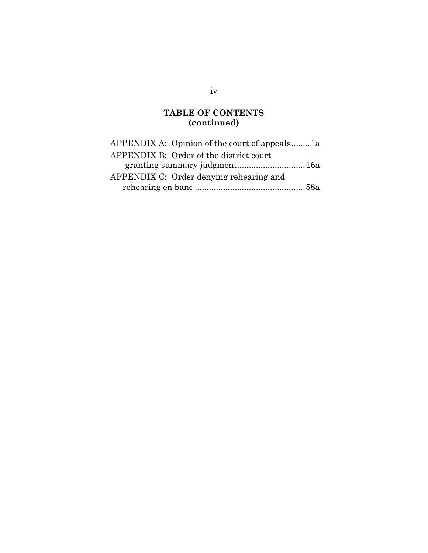# **TABLE OF CONTENTS (continued)**

| APPENDIX A: Opinion of the court of appeals1a |  |
|-----------------------------------------------|--|
| APPENDIX B: Order of the district court       |  |
|                                               |  |
| APPENDIX C: Order denying rehearing and       |  |
|                                               |  |

iv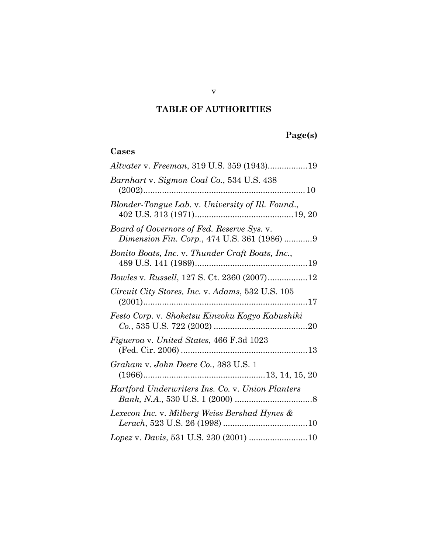# <span id="page-5-0"></span>**TABLE OF AUTHORITIES**

# **Page(s)**

# **Cases**

| Altvater v. Freeman, 319 U.S. 359 (1943)19                                                |
|-------------------------------------------------------------------------------------------|
| Barnhart v. Sigmon Coal Co., 534 U.S. 438                                                 |
| Blonder-Tongue Lab. v. University of Ill. Found.,                                         |
| Board of Governors of Fed. Reserve Sys. v.<br>Dimension Fin. Corp., 474 U.S. 361 (1986) 9 |
| Bonito Boats, Inc. v. Thunder Craft Boats, Inc.,                                          |
| Bowles v. Russell, 127 S. Ct. 2360 (2007)12                                               |
| Circuit City Stores, Inc. v. Adams, 532 U.S. 105                                          |
| Festo Corp. v. Shoketsu Kinzoku Kogyo Kabushiki                                           |
| <i>Figueroa v. United States, 466 F.3d 1023</i>                                           |
| Graham v. John Deere Co., 383 U.S. 1                                                      |
| Hartford Underwriters Ins. Co. v. Union Planters                                          |
| Lexecon Inc. v. Milberg Weiss Bershad Hynes &                                             |
| Lopez v. Davis, 531 U.S. 230 (2001) 10                                                    |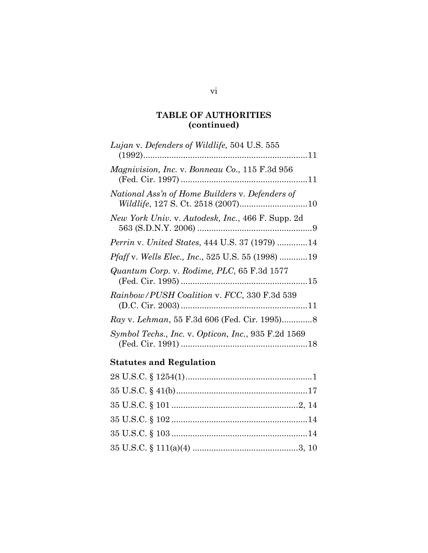# **TABLE OF AUTHORITIES (continued)**

| Lujan v. Defenders of Wildlife, 504 U.S. 555                     |  |
|------------------------------------------------------------------|--|
| <i>Magnivision, Inc. v. Bonneau Co., 115 F.3d 956</i>            |  |
| National Ass'n of Home Builders v. Defenders of                  |  |
| <i>New York Univ.</i> v. Autodesk, Inc., 466 F. Supp. 2d         |  |
| <i>Perrin v. United States, 444 U.S. 37 (1979) 14</i>            |  |
| <i>Pfaff</i> v. <i>Wells Elec., Inc.</i> , 525 U.S. 55 (1998) 19 |  |
| Quantum Corp. v. Rodime, PLC, 65 F.3d 1577                       |  |
| Rainbow/PUSH Coalition v. FCC, 330 F.3d 539                      |  |
|                                                                  |  |
| Symbol Techs., Inc. v. Opticon, Inc., 935 F.2d 1569              |  |

# **Statutes and Regulation**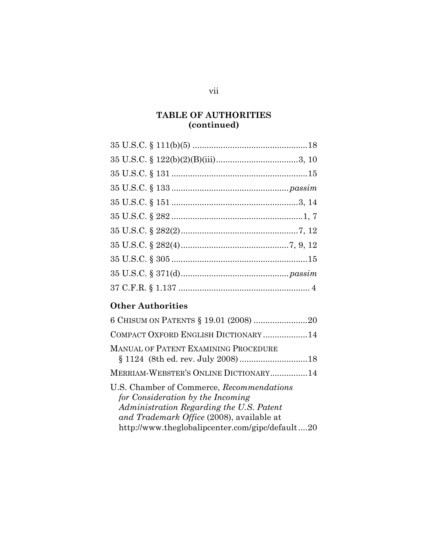# **TABLE OF AUTHORITIES (continued)**

# **Other Authorities**

| 6 CHISUM ON PATENTS § 19.01 (2008) 20                                                                                                                                   |  |
|-------------------------------------------------------------------------------------------------------------------------------------------------------------------------|--|
| COMPACT OXFORD ENGLISH DICTIONARY14                                                                                                                                     |  |
| <b>MANUAL OF PATENT EXAMINING PROCEDURE</b>                                                                                                                             |  |
| MERRIAM-WEBSTER'S ONLINE DICTIONARY 14                                                                                                                                  |  |
| U.S. Chamber of Commerce, Recommendations<br>for Consideration by the Incoming<br>Administration Regarding the U.S. Patent<br>and Trademark Office (2008), available at |  |
| http://www.theglobalipcenter.com/gipc/default20                                                                                                                         |  |

vii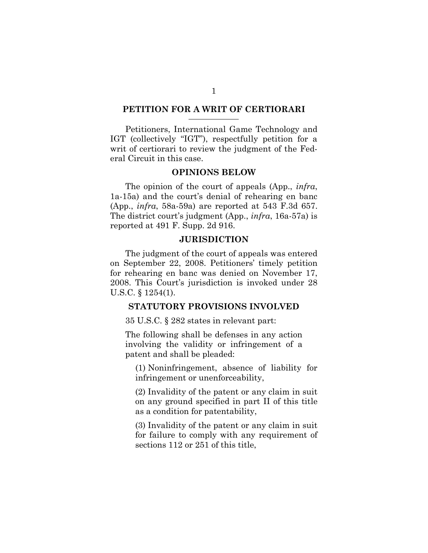#### **PETITION FOR A WRIT OF CERTIORARI**

Petitioners, International Game Technology and IGT (collectively "IGT"), respectfully petition for a writ of certiorari to review the judgment of the Federal Circuit in this case.

#### <span id="page-8-0"></span>**OPINIONS BELOW**

The opinion of the court of appeals (App., *infra*, 1a-15a) and the court's denial of rehearing en banc (App., *infra*, 58a-59a) are reported at 543 F.3d 657. The district court's judgment (App., *infra*, 16a-57a) is reported at 491 F. Supp. 2d 916.

#### <span id="page-8-1"></span>**JURISDICTION**

The judgment of the court of appeals was entered on September 22, 2008. Petitioners' timely petition for rehearing en banc was denied on November 17, 2008. This Court's jurisdiction is invoked under 28 U.S.C. § 1254(1).

#### <span id="page-8-2"></span>**STATUTORY PROVISIONS INVOLVED**

35 U.S.C. § 282 states in relevant part:

The following shall be defenses in any action involving the validity or infringement of a patent and shall be pleaded:

(1) Noninfringement, absence of liability for infringement or unenforceability,

(2) Invalidity of the patent or any claim in suit on any ground specified in part II of this title as a condition for patentability,

(3) Invalidity of the patent or any claim in suit for failure to comply with any requirement of sections 112 or 251 of this title,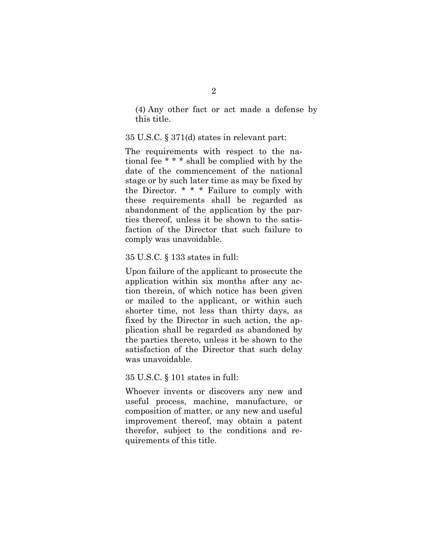(4) Any other fact or act made a defense by this title.

#### 35 U.S.C. § 371(d) states in relevant part:

The requirements with respect to the national fee \* \* \* shall be complied with by the date of the commencement of the national stage or by such later time as may be fixed by the Director. \* \* \* Failure to comply with these requirements shall be regarded as abandonment of the application by the parties thereof, unless it be shown to the satisfaction of the Director that such failure to comply was unavoidable.

#### 35 U.S.C. § 133 states in full:

Upon failure of the applicant to prosecute the application within six months after any action therein, of which notice has been given or mailed to the applicant, or within such shorter time, not less than thirty days, as fixed by the Director in such action, the application shall be regarded as abandoned by the parties thereto, unless it be shown to the satisfaction of the Director that such delay was unavoidable.

#### 35 U.S.C. § 101 states in full:

Whoever invents or discovers any new and useful process, machine, manufacture, or composition of matter, or any new and useful improvement thereof, may obtain a patent therefor, subject to the conditions and requirements of this title.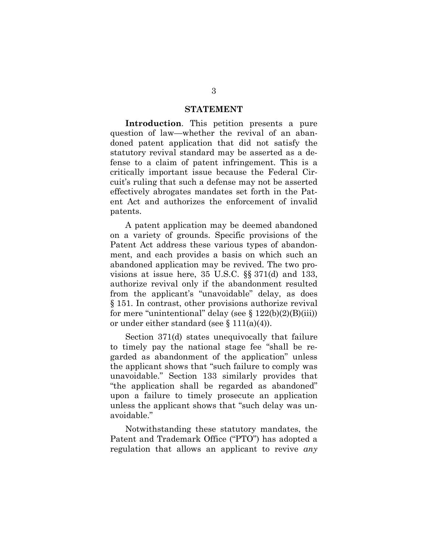#### <span id="page-10-0"></span>**STATEMENT**

<span id="page-10-1"></span>**Introduction**. This petition presents a pure question of law—whether the revival of an abandoned patent application that did not satisfy the statutory revival standard may be asserted as a defense to a claim of patent infringement. This is a critically important issue because the Federal Circuit's ruling that such a defense may not be asserted effectively abrogates mandates set forth in the Patent Act and authorizes the enforcement of invalid patents.

A patent application may be deemed abandoned on a variety of grounds. Specific provisions of the Patent Act address these various types of abandonment, and each provides a basis on which such an abandoned application may be revived. The two provisions at issue here, 35 U.S.C. §§ 371(d) and 133, authorize revival only if the abandonment resulted from the applicant's "unavoidable" delay, as does § 151. In contrast, other provisions authorize revival for mere "unintentional" delay (see  $\S 122(b)(2)(B)(iii)$ ) or under either standard (see § 111(a)(4)).

Section 371(d) states unequivocally that failure to timely pay the national stage fee "shall be regarded as abandonment of the application" unless the applicant shows that "such failure to comply was unavoidable." Section 133 similarly provides that "the application shall be regarded as abandoned" upon a failure to timely prosecute an application unless the applicant shows that "such delay was unavoidable."

Notwithstanding these statutory mandates, the Patent and Trademark Office ("PTO") has adopted a regulation that allows an applicant to revive *any*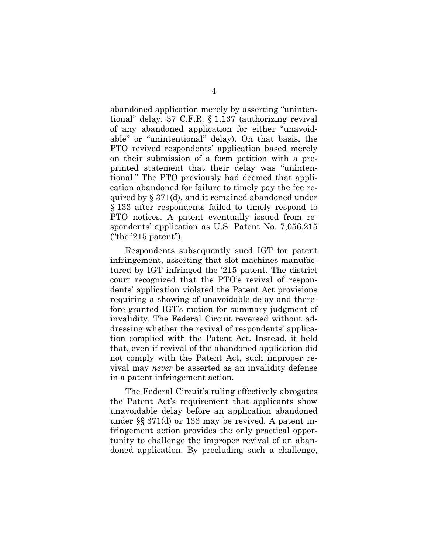abandoned application merely by asserting "unintentional" delay. 37 C.F.R. § 1.137 (authorizing revival of any abandoned application for either "unavoidable" or "unintentional" delay). On that basis, the PTO revived respondents' application based merely on their submission of a form petition with a preprinted statement that their delay was "unintentional." The PTO previously had deemed that application abandoned for failure to timely pay the fee required by § 371(d), and it remained abandoned under § 133 after respondents failed to timely respond to PTO notices. A patent eventually issued from respondents' application as U.S. Patent No. 7,056,215 ("the '215 patent").

Respondents subsequently sued IGT for patent infringement, asserting that slot machines manufactured by IGT infringed the '215 patent. The district court recognized that the PTO's revival of respondents' application violated the Patent Act provisions requiring a showing of unavoidable delay and therefore granted IGT's motion for summary judgment of invalidity. The Federal Circuit reversed without addressing whether the revival of respondents' application complied with the Patent Act. Instead, it held that, even if revival of the abandoned application did not comply with the Patent Act, such improper revival may *never* be asserted as an invalidity defense in a patent infringement action.

The Federal Circuit's ruling effectively abrogates the Patent Act's requirement that applicants show unavoidable delay before an application abandoned under §§ 371(d) or 133 may be revived. A patent infringement action provides the only practical opportunity to challenge the improper revival of an abandoned application. By precluding such a challenge,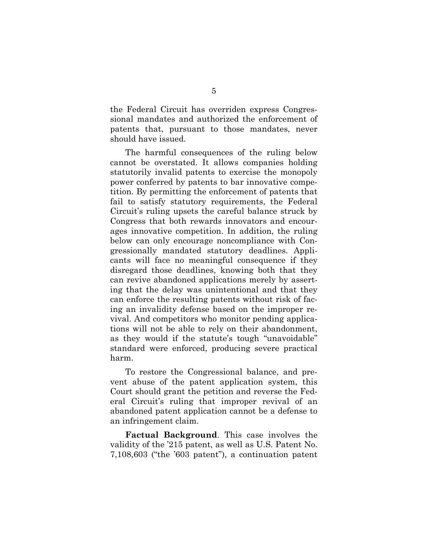the Federal Circuit has overriden express Congressional mandates and authorized the enforcement of patents that, pursuant to those mandates, never should have issued.

The harmful consequences of the ruling below cannot be overstated. It allows companies holding statutorily invalid patents to exercise the monopoly power conferred by patents to bar innovative competition. By permitting the enforcement of patents that fail to satisfy statutory requirements, the Federal Circuit's ruling upsets the careful balance struck by Congress that both rewards innovators and encourages innovative competition. In addition, the ruling below can only encourage noncompliance with Congressionally mandated statutory deadlines. Applicants will face no meaningful consequence if they disregard those deadlines, knowing both that they can revive abandoned applications merely by asserting that the delay was unintentional and that they can enforce the resulting patents without risk of facing an invalidity defense based on the improper revival. And competitors who monitor pending applications will not be able to rely on their abandonment, as they would if the statute's tough "unavoidable" standard were enforced, producing severe practical harm.

To restore the Congressional balance, and prevent abuse of the patent application system, this Court should grant the petition and reverse the Federal Circuit's ruling that improper revival of an abandoned patent application cannot be a defense to an infringement claim.

<span id="page-12-0"></span>**Factual Background**. This case involves the validity of the '215 patent, as well as U.S. Patent No. 7,108,603 ("the '603 patent"), a continuation patent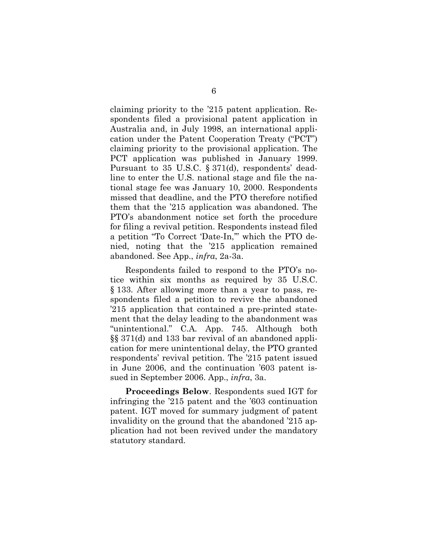claiming priority to the '215 patent application. Respondents filed a provisional patent application in Australia and, in July 1998, an international application under the Patent Cooperation Treaty ("PCT") claiming priority to the provisional application. The PCT application was published in January 1999. Pursuant to 35 U.S.C. § 371(d), respondents' deadline to enter the U.S. national stage and file the national stage fee was January 10, 2000. Respondents missed that deadline, and the PTO therefore notified them that the '215 application was abandoned. The PTO's abandonment notice set forth the procedure for filing a revival petition. Respondents instead filed a petition "To Correct 'Date-In,'" which the PTO denied, noting that the '215 application remained abandoned. See App., *infra*, 2a-3a.

Respondents failed to respond to the PTO's notice within six months as required by 35 U.S.C. § 133. After allowing more than a year to pass, respondents filed a petition to revive the abandoned '215 application that contained a pre-printed statement that the delay leading to the abandonment was "unintentional." C.A. App. 745. Although both §§ 371(d) and 133 bar revival of an abandoned application for mere unintentional delay, the PTO granted respondents' revival petition. The '215 patent issued in June 2006, and the continuation '603 patent issued in September 2006. App., *infra*, 3a.

<span id="page-13-0"></span>**Proceedings Below**. Respondents sued IGT for infringing the '215 patent and the '603 continuation patent. IGT moved for summary judgment of patent invalidity on the ground that the abandoned '215 application had not been revived under the mandatory statutory standard.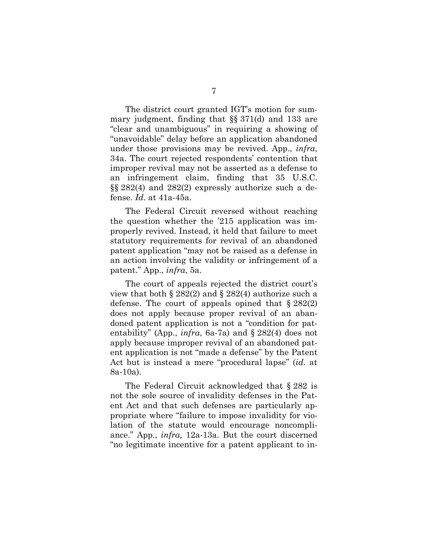The district court granted IGT's motion for summary judgment, finding that §§ 371(d) and 133 are "clear and unambiguous" in requiring a showing of "unavoidable" delay before an application abandoned under those provisions may be revived. App., *infra*, 34a. The court rejected respondents' contention that improper revival may not be asserted as a defense to an infringement claim, finding that 35 U.S.C. §§ 282(4) and 282(2) expressly authorize such a defense. *Id*. at 41a-45a.

The Federal Circuit reversed without reaching the question whether the '215 application was improperly revived. Instead, it held that failure to meet statutory requirements for revival of an abandoned patent application "may not be raised as a defense in an action involving the validity or infringement of a patent." App., *infra*, 5a.

The court of appeals rejected the district court's view that both § 282(2) and § 282(4) authorize such a defense. The court of appeals opined that  $\S 282(2)$ does not apply because proper revival of an abandoned patent application is not a "condition for patentability" (App., *infra*, 6a-7a) and § 282(4) does not apply because improper revival of an abandoned patent application is not "made a defense" by the Patent Act but is instead a mere "procedural lapse" (*id.* at 8a-10a).

The Federal Circuit acknowledged that § 282 is not the sole source of invalidity defenses in the Patent Act and that such defenses are particularly appropriate where "failure to impose invalidity for violation of the statute would encourage noncompliance." App., *infra,* 12a-13a. But the court discerned "no legitimate incentive for a patent applicant to in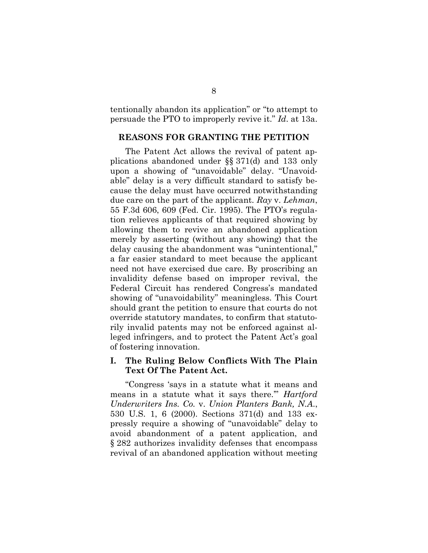tentionally abandon its application" or "to attempt to persuade the PTO to improperly revive it." *Id*. at 13a.

#### <span id="page-15-0"></span>**REASONS FOR GRANTING THE PETITION**

The Patent Act allows the revival of patent applications abandoned under §§ 371(d) and 133 only upon a showing of "unavoidable" delay. "Unavoidable" delay is a very difficult standard to satisfy because the delay must have occurred notwithstanding due care on the part of the applicant. *Ray* v. *Lehman*, 55 F.3d 606, 609 (Fed. Cir. 1995). The PTO's regulation relieves applicants of that required showing by allowing them to revive an abandoned application merely by asserting (without any showing) that the delay causing the abandonment was "unintentional," a far easier standard to meet because the applicant need not have exercised due care. By proscribing an invalidity defense based on improper revival, the Federal Circuit has rendered Congress's mandated showing of "unavoidability" meaningless. This Court should grant the petition to ensure that courts do not override statutory mandates, to confirm that statutorily invalid patents may not be enforced against alleged infringers, and to protect the Patent Act's goal of fostering innovation.

### <span id="page-15-1"></span>**I. The Ruling Below Conflicts With The Plain Text Of The Patent Act.**

"Congress 'says in a statute what it means and means in a statute what it says there.'" *Hartford Underwriters Ins. Co.* v. *Union Planters Bank, N.A*., 530 U.S. 1, 6 (2000). Sections 371(d) and 133 expressly require a showing of "unavoidable" delay to avoid abandonment of a patent application, and § 282 authorizes invalidity defenses that encompass revival of an abandoned application without meeting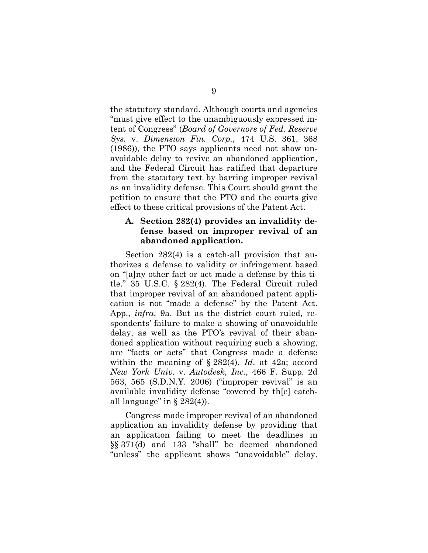the statutory standard. Although courts and agencies "must give effect to the unambiguously expressed intent of Congress" (*Board of Governors of Fed. Reserve Sys.* v. *Dimension Fin. Corp.*, 474 U.S. 361, 368 (1986)), the PTO says applicants need not show unavoidable delay to revive an abandoned application, and the Federal Circuit has ratified that departure from the statutory text by barring improper revival as an invalidity defense. This Court should grant the petition to ensure that the PTO and the courts give effect to these critical provisions of the Patent Act.

### <span id="page-16-0"></span>**A. Section 282(4) provides an invalidity defense based on improper revival of an abandoned application.**

Section 282(4) is a catch-all provision that authorizes a defense to validity or infringement based on "[a]ny other fact or act made a defense by this title." 35 U.S.C. § 282(4). The Federal Circuit ruled that improper revival of an abandoned patent application is not "made a defense" by the Patent Act. App., *infra*, 9a. But as the district court ruled, respondents' failure to make a showing of unavoidable delay, as well as the PTO's revival of their abandoned application without requiring such a showing, are "facts or acts" that Congress made a defense within the meaning of § 282(4). *Id*. at 42a; accord *New York Univ.* v. *Autodesk, Inc.*, 466 F. Supp. 2d 563, 565 (S.D.N.Y. 2006) ("improper revival" is an available invalidity defense "covered by th[e] catchall language" in  $\S 282(4)$ ).

Congress made improper revival of an abandoned application an invalidity defense by providing that an application failing to meet the deadlines in §§ 371(d) and 133 "shall" be deemed abandoned "unless" the applicant shows "unavoidable" delay.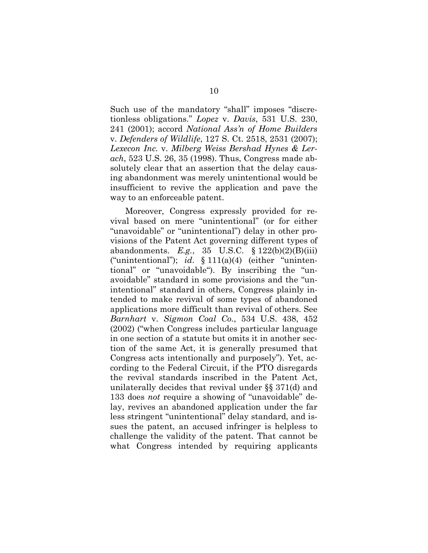Such use of the mandatory "shall" imposes "discretionless obligations." *Lopez* v. *Davis*, 531 U.S. 230, 241 (2001); accord *National Ass'n of Home Builders* v. *Defenders of Wildlife*, 127 S. Ct. 2518, 2531 (2007); *Lexecon Inc.* v. *Milberg Weiss Bershad Hynes & Lerach*, 523 U.S. 26, 35 (1998). Thus, Congress made absolutely clear that an assertion that the delay causing abandonment was merely unintentional would be insufficient to revive the application and pave the way to an enforceable patent.

Moreover, Congress expressly provided for revival based on mere "unintentional" (or for either "unavoidable" or "unintentional") delay in other provisions of the Patent Act governing different types of abandonments. *E.g.*, 35 U.S.C. § 122(b)(2)(B)(iii) ("unintentional"); *id*. § 111(a)(4) (either "unintentional" or "unavoidable"). By inscribing the "unavoidable" standard in some provisions and the "unintentional" standard in others, Congress plainly intended to make revival of some types of abandoned applications more difficult than revival of others. See *Barnhart* v. *Sigmon Coal Co.*, 534 U.S. 438, 452 (2002) ("when Congress includes particular language in one section of a statute but omits it in another section of the same Act, it is generally presumed that Congress acts intentionally and purposely"). Yet, according to the Federal Circuit, if the PTO disregards the revival standards inscribed in the Patent Act, unilaterally decides that revival under §§ 371(d) and 133 does *not* require a showing of "unavoidable" delay, revives an abandoned application under the far less stringent "unintentional" delay standard, and issues the patent, an accused infringer is helpless to challenge the validity of the patent. That cannot be what Congress intended by requiring applicants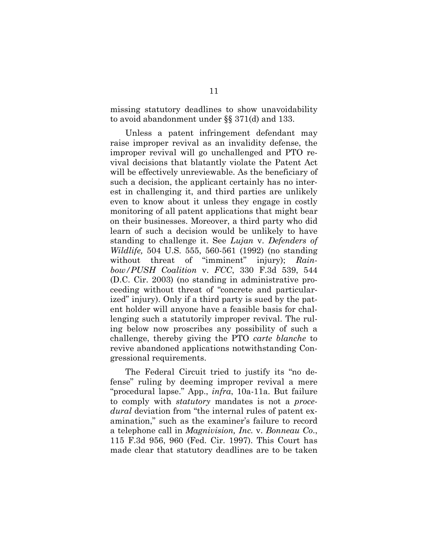missing statutory deadlines to show unavoidability to avoid abandonment under §§ 371(d) and 133.

Unless a patent infringement defendant may raise improper revival as an invalidity defense, the improper revival will go unchallenged and PTO revival decisions that blatantly violate the Patent Act will be effectively unreviewable. As the beneficiary of such a decision, the applicant certainly has no interest in challenging it, and third parties are unlikely even to know about it unless they engage in costly monitoring of all patent applications that might bear on their businesses. Moreover, a third party who did learn of such a decision would be unlikely to have standing to challenge it. See *Lujan* v. *Defenders of Wildlife,* 504 U.S. 555, 560-561 (1992) (no standing without threat of "imminent" injury); *Rainbow/PUSH Coalition* v. *FCC*, 330 F.3d 539, 544 (D.C. Cir. 2003) (no standing in administrative proceeding without threat of "concrete and particularized" injury). Only if a third party is sued by the patent holder will anyone have a feasible basis for challenging such a statutorily improper revival. The ruling below now proscribes any possibility of such a challenge, thereby giving the PTO *carte blanche* to revive abandoned applications notwithstanding Congressional requirements.

The Federal Circuit tried to justify its "no defense" ruling by deeming improper revival a mere "procedural lapse." App., *infra*, 10a-11a. But failure to comply with *statutory* mandates is not a *procedural* deviation from "the internal rules of patent examination," such as the examiner's failure to record a telephone call in *Magnivision, Inc.* v. *Bonneau Co*., 115 F.3d 956, 960 (Fed. Cir. 1997). This Court has made clear that statutory deadlines are to be taken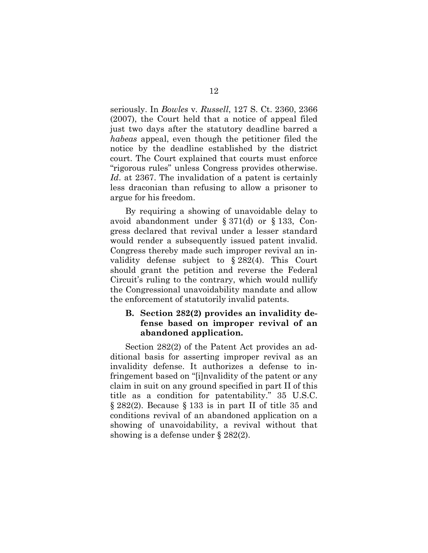seriously. In *Bowles* v*. Russell*, 127 S. Ct. 2360, 2366 (2007), the Court held that a notice of appeal filed just two days after the statutory deadline barred a *habeas* appeal, even though the petitioner filed the notice by the deadline established by the district court. The Court explained that courts must enforce "rigorous rules" unless Congress provides otherwise. *Id*. at 2367. The invalidation of a patent is certainly less draconian than refusing to allow a prisoner to argue for his freedom.

By requiring a showing of unavoidable delay to avoid abandonment under § 371(d) or § 133, Congress declared that revival under a lesser standard would render a subsequently issued patent invalid. Congress thereby made such improper revival an invalidity defense subject to § 282(4). This Court should grant the petition and reverse the Federal Circuit's ruling to the contrary, which would nullify the Congressional unavoidability mandate and allow the enforcement of statutorily invalid patents.

### <span id="page-19-0"></span>**B. Section 282(2) provides an invalidity defense based on improper revival of an abandoned application.**

Section 282(2) of the Patent Act provides an additional basis for asserting improper revival as an invalidity defense. It authorizes a defense to infringement based on "[i]nvalidity of the patent or any claim in suit on any ground specified in part II of this title as a condition for patentability." 35 U.S.C. § 282(2). Because § 133 is in part II of title 35 and conditions revival of an abandoned application on a showing of unavoidability, a revival without that showing is a defense under § 282(2).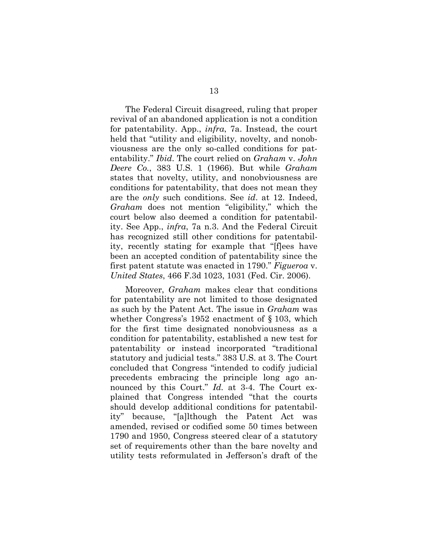The Federal Circuit disagreed, ruling that proper revival of an abandoned application is not a condition for patentability. App., *infra*, 7a. Instead, the court held that "utility and eligibility, novelty, and nonobviousness are the only so-called conditions for patentability." *Ibid*. The court relied on *Graham* v. *John Deere Co.*, 383 U.S. 1 (1966). But while *Graham* states that novelty, utility, and nonobviousness are conditions for patentability, that does not mean they are the *only* such conditions. See *id*. at 12. Indeed, *Graham* does not mention "eligibility," which the court below also deemed a condition for patentability. See App., *infra*, 7a n.3. And the Federal Circuit has recognized still other conditions for patentability, recently stating for example that "[f]ees have been an accepted condition of patentability since the first patent statute was enacted in 1790." *Figueroa* v. *United States*, 466 F.3d 1023, 1031 (Fed. Cir. 2006).

Moreover, *Graham* makes clear that conditions for patentability are not limited to those designated as such by the Patent Act. The issue in *Graham* was whether Congress's 1952 enactment of § 103, which for the first time designated nonobviousness as a condition for patentability, established a new test for patentability or instead incorporated "traditional statutory and judicial tests." 383 U.S. at 3. The Court concluded that Congress "intended to codify judicial precedents embracing the principle long ago announced by this Court." *Id.* at 3-4. The Court explained that Congress intended "that the courts should develop additional conditions for patentability" because, "[a]lthough the Patent Act was amended, revised or codified some 50 times between 1790 and 1950, Congress steered clear of a statutory set of requirements other than the bare novelty and utility tests reformulated in Jefferson's draft of the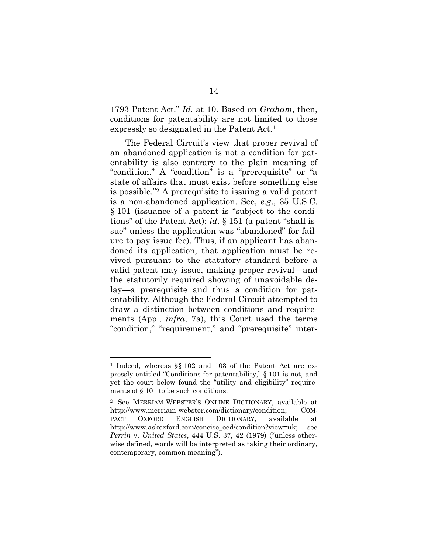1793 Patent Act." *Id.* at 10. Based on *Graham*, then, conditions for patentability are not limited to those expressly so designated in the Patent Act.[1](#page-21-0)

The Federal Circuit's view that proper revival of an abandoned application is not a condition for patentability is also contrary to the plain meaning of "condition." A "condition" is a "prerequisite" or "a state of affairs that must exist before something else is possible."[2](#page-21-1) A prerequisite to issuing a valid patent is a non-abandoned application. See, *e.g*., 35 U.S.C. § 101 (issuance of a patent is "subject to the conditions" of the Patent Act); *id*. § 151 (a patent "shall issue" unless the application was "abandoned" for failure to pay issue fee). Thus, if an applicant has abandoned its application, that application must be revived pursuant to the statutory standard before a valid patent may issue, making proper revival—and the statutorily required showing of unavoidable delay—a prerequisite and thus a condition for patentability. Although the Federal Circuit attempted to draw a distinction between conditions and requirements (App., *infra*, 7a), this Court used the terms "condition," "requirement," and "prerequisite" inter-

<span id="page-21-0"></span><sup>1</sup> Indeed, whereas §§ 102 and 103 of the Patent Act are expressly entitled "Conditions for patentability," § 101 is not, and yet the court below found the "utility and eligibility" requirements of § 101 to be such conditions.

<span id="page-21-1"></span><sup>2</sup> See MERRIAM-WEBSTER'S ONLINE DICTIONARY, available at http://www.merriam-webster.com/dictionary/condition; COM-PACT OXFORD ENGLISH DICTIONARY, available at http://www.askoxford.com/concise\_oed/condition?view=uk; see *Perrin* v. *United States*, 444 U.S. 37, 42 (1979) ("unless otherwise defined, words will be interpreted as taking their ordinary, contemporary, common meaning").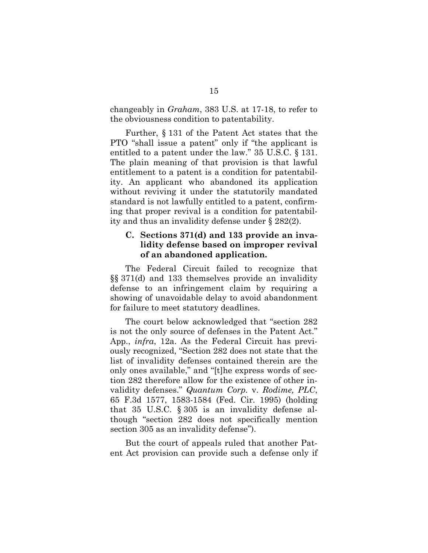changeably in *Graham*, 383 U.S. at 17-18, to refer to the obviousness condition to patentability.

Further, § 131 of the Patent Act states that the PTO "shall issue a patent" only if "the applicant is entitled to a patent under the law." 35 U.S.C. § 131. The plain meaning of that provision is that lawful entitlement to a patent is a condition for patentability. An applicant who abandoned its application without reviving it under the statutorily mandated standard is not lawfully entitled to a patent, confirming that proper revival is a condition for patentability and thus an invalidity defense under § 282(2).

## <span id="page-22-0"></span>**C. Sections 371(d) and 133 provide an invalidity defense based on improper revival of an abandoned application.**

The Federal Circuit failed to recognize that §§ 371(d) and 133 themselves provide an invalidity defense to an infringement claim by requiring a showing of unavoidable delay to avoid abandonment for failure to meet statutory deadlines.

The court below acknowledged that "section 282 is not the only source of defenses in the Patent Act." App., *infra*, 12a. As the Federal Circuit has previously recognized, "Section 282 does not state that the list of invalidity defenses contained therein are the only ones available," and "[t]he express words of section 282 therefore allow for the existence of other invalidity defenses." *Quantum Corp.* v. *Rodime, PLC*, 65 F.3d 1577, 1583-1584 (Fed. Cir. 1995) (holding that 35 U.S.C. § 305 is an invalidity defense although "section 282 does not specifically mention section 305 as an invalidity defense").

But the court of appeals ruled that another Patent Act provision can provide such a defense only if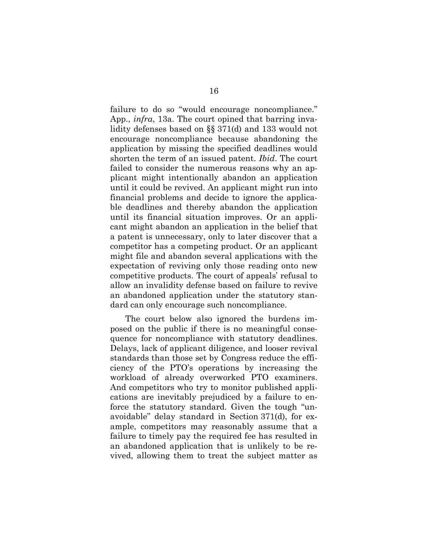failure to do so "would encourage noncompliance." App., *infra*, 13a. The court opined that barring invalidity defenses based on §§ 371(d) and 133 would not encourage noncompliance because abandoning the application by missing the specified deadlines would shorten the term of an issued patent. *Ibid*. The court failed to consider the numerous reasons why an applicant might intentionally abandon an application until it could be revived. An applicant might run into financial problems and decide to ignore the applicable deadlines and thereby abandon the application until its financial situation improves. Or an applicant might abandon an application in the belief that a patent is unnecessary, only to later discover that a competitor has a competing product. Or an applicant might file and abandon several applications with the expectation of reviving only those reading onto new competitive products. The court of appeals' refusal to allow an invalidity defense based on failure to revive an abandoned application under the statutory standard can only encourage such noncompliance.

The court below also ignored the burdens imposed on the public if there is no meaningful consequence for noncompliance with statutory deadlines. Delays, lack of applicant diligence, and looser revival standards than those set by Congress reduce the efficiency of the PTO's operations by increasing the workload of already overworked PTO examiners. And competitors who try to monitor published applications are inevitably prejudiced by a failure to enforce the statutory standard. Given the tough "unavoidable" delay standard in Section 371(d), for example, competitors may reasonably assume that a failure to timely pay the required fee has resulted in an abandoned application that is unlikely to be revived, allowing them to treat the subject matter as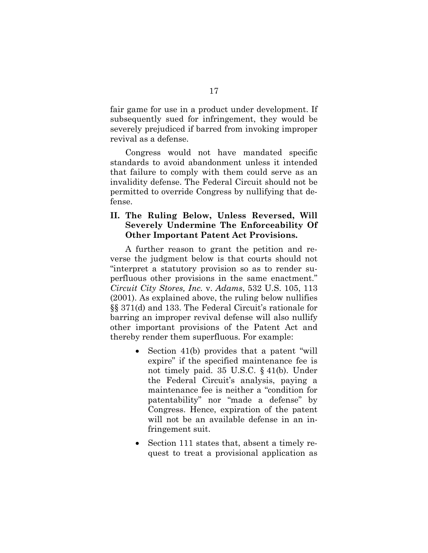fair game for use in a product under development. If subsequently sued for infringement, they would be severely prejudiced if barred from invoking improper revival as a defense.

Congress would not have mandated specific standards to avoid abandonment unless it intended that failure to comply with them could serve as an invalidity defense. The Federal Circuit should not be permitted to override Congress by nullifying that defense.

### <span id="page-24-0"></span>**II. The Ruling Below, Unless Reversed, Will Severely Undermine The Enforceability Of Other Important Patent Act Provisions.**

A further reason to grant the petition and reverse the judgment below is that courts should not "interpret a statutory provision so as to render superfluous other provisions in the same enactment." *Circuit City Stores, Inc.* v. *Adams*, 532 U.S. 105, 113 (2001). As explained above, the ruling below nullifies §§ 371(d) and 133. The Federal Circuit's rationale for barring an improper revival defense will also nullify other important provisions of the Patent Act and thereby render them superfluous. For example:

- Section 41(b) provides that a patent "will expire" if the specified maintenance fee is not timely paid. 35 U.S.C. § 41(b). Under the Federal Circuit's analysis, paying a maintenance fee is neither a "condition for patentability" nor "made a defense" by Congress. Hence, expiration of the patent will not be an available defense in an infringement suit.
- Section 111 states that, absent a timely request to treat a provisional application as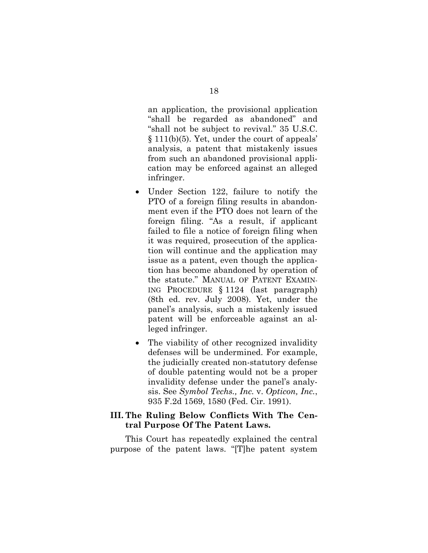an application, the provisional application "shall be regarded as abandoned" and "shall not be subject to revival." 35 U.S.C. § 111(b)(5). Yet, under the court of appeals' analysis, a patent that mistakenly issues from such an abandoned provisional application may be enforced against an alleged infringer.

- Under Section 122, failure to notify the PTO of a foreign filing results in abandonment even if the PTO does not learn of the foreign filing. "As a result, if applicant failed to file a notice of foreign filing when it was required, prosecution of the application will continue and the application may issue as a patent, even though the application has become abandoned by operation of the statute." MANUAL OF PATENT EXAMIN-ING PROCEDURE § 1124 (last paragraph) (8th ed. rev. July 2008). Yet, under the panel's analysis, such a mistakenly issued patent will be enforceable against an alleged infringer.
- The viability of other recognized invalidity defenses will be undermined. For example, the judicially created non-statutory defense of double patenting would not be a proper invalidity defense under the panel's analysis. See *Symbol Techs., Inc.* v. *Opticon, Inc.*, 935 F.2d 1569, 1580 (Fed. Cir. 1991).

### <span id="page-25-0"></span>**III. The Ruling Below Conflicts With The Central Purpose Of The Patent Laws.**

This Court has repeatedly explained the central purpose of the patent laws. "[T]he patent system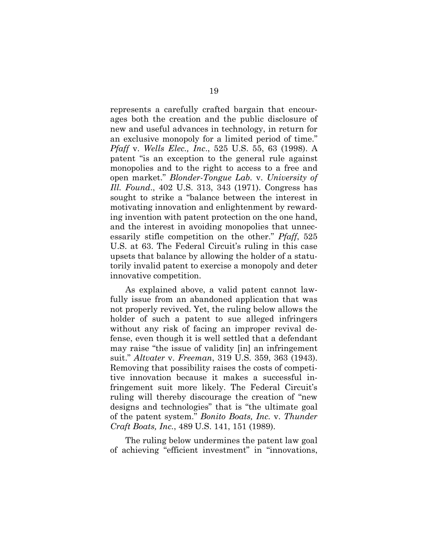represents a carefully crafted bargain that encourages both the creation and the public disclosure of new and useful advances in technology, in return for an exclusive monopoly for a limited period of time." *Pfaff* v. *Wells Elec., Inc*., 525 U.S. 55, 63 (1998). A patent "is an exception to the general rule against monopolies and to the right to access to a free and open market." *Blonder-Tongue Lab.* v. *University of Ill. Found*., 402 U.S. 313, 343 (1971). Congress has sought to strike a "balance between the interest in motivating innovation and enlightenment by rewarding invention with patent protection on the one hand, and the interest in avoiding monopolies that unnecessarily stifle competition on the other." *Pfaff*, 525 U.S. at 63. The Federal Circuit's ruling in this case upsets that balance by allowing the holder of a statutorily invalid patent to exercise a monopoly and deter innovative competition.

As explained above, a valid patent cannot lawfully issue from an abandoned application that was not properly revived. Yet, the ruling below allows the holder of such a patent to sue alleged infringers without any risk of facing an improper revival defense, even though it is well settled that a defendant may raise "the issue of validity [in] an infringement suit." *Altvater* v. *Freeman*, 319 U.S. 359, 363 (1943). Removing that possibility raises the costs of competitive innovation because it makes a successful infringement suit more likely. The Federal Circuit's ruling will thereby discourage the creation of "new designs and technologies" that is "the ultimate goal of the patent system." *Bonito Boats, Inc.* v. *Thunder Craft Boats, Inc.*, 489 U.S. 141, 151 (1989).

The ruling below undermines the patent law goal of achieving "efficient investment" in "innovations,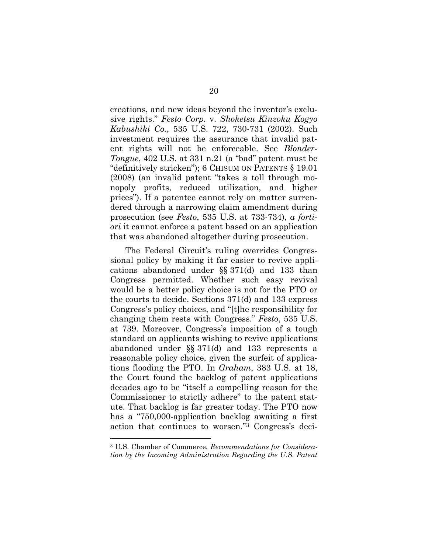creations, and new ideas beyond the inventor's exclusive rights." *Festo Corp.* v. *Shoketsu Kinzoku Kogyo Kabushiki Co.*, 535 U.S. 722, 730-731 (2002). Such investment requires the assurance that invalid patent rights will not be enforceable. See *Blonder-Tongue*, 402 U.S. at 331 n.21 (a "bad" patent must be "definitively stricken"); 6 CHISUM ON PATENTS § 19.01 (2008) (an invalid patent "takes a toll through monopoly profits, reduced utilization, and higher prices"). If a patentee cannot rely on matter surrendered through a narrowing claim amendment during prosecution (see *Festo*, 535 U.S. at 733-734), *a fortiori* it cannot enforce a patent based on an application that was abandoned altogether during prosecution.

The Federal Circuit's ruling overrides Congressional policy by making it far easier to revive applications abandoned under §§ 371(d) and 133 than Congress permitted. Whether such easy revival would be a better policy choice is not for the PTO or the courts to decide. Sections 371(d) and 133 express Congress's policy choices, and "[t]he responsibility for changing them rests with Congress." *Festo*, 535 U.S. at 739. Moreover, Congress's imposition of a tough standard on applicants wishing to revive applications abandoned under §§ 371(d) and 133 represents a reasonable policy choice, given the surfeit of applications flooding the PTO. In *Graham*, 383 U.S. at 18, the Court found the backlog of patent applications decades ago to be "itself a compelling reason for the Commissioner to strictly adhere" to the patent statute. That backlog is far greater today. The PTO now has a "750,000-application backlog awaiting a first action that continues to worsen."[3](#page-27-0) Congress's deci-

<span id="page-27-0"></span><sup>3</sup> U.S. Chamber of Commerce, *Recommendations for Consideration by the Incoming Administration Regarding the U.S. Patent*